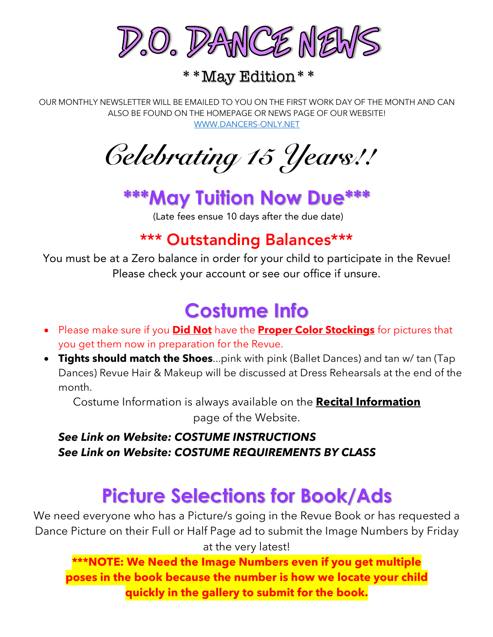

\*\*May Edition\*\*

OUR MONTHLY NEWSLETTER WILL BE EMAILED TO YOU ON THE FIRST WORK DAY OF THE MONTH AND CAN ALSO BE FOUND ON THE HOMEPAGE OR NEWS PAGE OF OUR WEBSITE! WWW.DANCERS-ONLY.NET

*Celebrating 15 Years!!*

## **\*\*\*May Tuition Now Due\*\*\***

(Late fees ensue 10 days after the due date)

### \*\*\* Outstanding Balances\*\*\*

You must be at a Zero balance in order for your child to participate in the Revue! Please check your account or see our office if unsure.

## **Costume Info**

- Please make sure if you **Did Not** have the **Proper Color Stockings** for pictures that you get them now in preparation for the Revue.
- **Tights should match the Shoes**...pink with pink (Ballet Dances) and tan w/ tan (Tap Dances) Revue Hair & Makeup will be discussed at Dress Rehearsals at the end of the month.

Costume Information is always available on the **Recital Information** page of the Website.

### *See Link on Website: COSTUME INSTRUCTIONS See Link on Website: COSTUME REQUIREMENTS BY CLASS*

## **Picture Selections for Book/Ads**

We need everyone who has a Picture/s going in the Revue Book or has requested a Dance Picture on their Full or Half Page ad to submit the Image Numbers by Friday at the very latest!

**\*\*\*NOTE: We Need the Image Numbers even if you get multiple poses in the book because the number is how we locate your child quickly in the gallery to submit for the book.**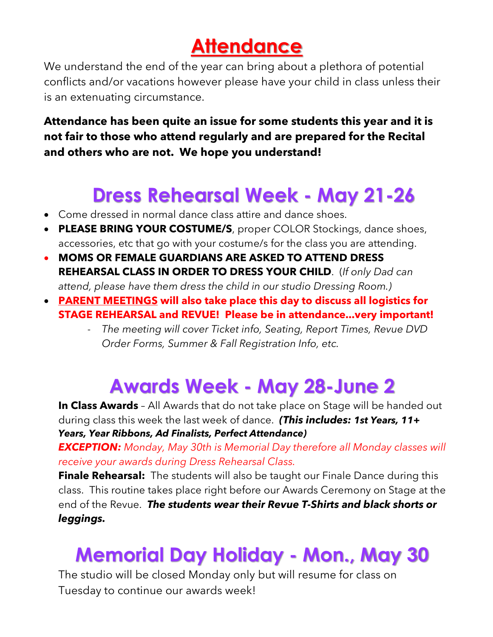## **Attendance**

We understand the end of the year can bring about a plethora of potential conflicts and/or vacations however please have your child in class unless their is an extenuating circumstance.

### **Attendance has been quite an issue for some students this year and it is not fair to those who attend regularly and are prepared for the Recital and others who are not. We hope you understand!**

## **Dress Rehearsal Week - May 21-26**

- Come dressed in normal dance class attire and dance shoes.
- **PLEASE BRING YOUR COSTUME/S**, proper COLOR Stockings, dance shoes, accessories, etc that go with your costume/s for the class you are attending.
- **MOMS OR FEMALE GUARDIANS ARE ASKED TO ATTEND DRESS REHEARSAL CLASS IN ORDER TO DRESS YOUR CHILD**. (*If only Dad can attend, please have them dress the child in our studio Dressing Room.)*
- **PARENT MEETINGS will also take place this day to discuss all logistics for STAGE REHEARSAL and REVUE! Please be in attendance...very important!**
	- *The meeting will cover Ticket info, Seating, Report Times, Revue DVD Order Forms, Summer & Fall Registration Info, etc.*

## **Awards Week - May 28-June 2**

**In Class Awards** - All Awards that do not take place on Stage will be handed out during class this week the last week of dance. *(This includes: 1st Years, 11+ Years, Year Ribbons, Ad Finalists, Perfect Attendance)*

*EXCEPTION: Monday, May 30th is Memorial Day therefore all Monday classes will receive your awards during Dress Rehearsal Class.*

**Finale Rehearsal:** The students will also be taught our Finale Dance during this class. This routine takes place right before our Awards Ceremony on Stage at the end of the Revue. *The students wear their Revue T-Shirts and black shorts or leggings.*

## **Memorial Day Holiday - Mon., May 30**

The studio will be closed Monday only but will resume for class on Tuesday to continue our awards week!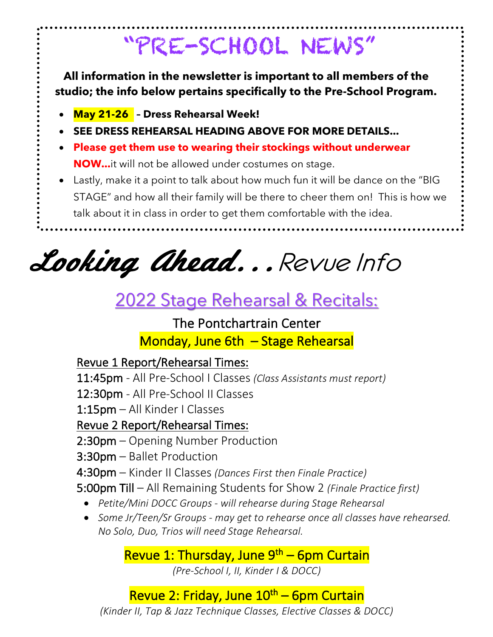# "PRE-SCHOOL NEWS"

**All information in the newsletter is important to all members of the studio; the info below pertains specifically to the Pre-School Program.**

- **May 21-26 – Dress Rehearsal Week!**
- **SEE DRESS REHEARSAL HEADING ABOVE FOR MORE DETAILS...**
- **Please get them use to wearing their stockings without underwear NOW...**it will not be allowed under costumes on stage.
- Lastly, make it a point to talk about how much fun it will be dance on the "BIG STAGE" and how all their family will be there to cheer them on! This is how we talk about it in class in order to get them comfortable with the idea.

Looking ahead...Revue Info

## 2022 Stage Rehearsal & Recitals:

## The Pontchartrain Center Monday, June 6th – Stage Rehearsal

### Revue 1 Report/Rehearsal Times:

11:45pm - All Pre-School I Classes *(Class Assistants must report)*

12:30pm - All Pre-School II Classes

1:15pm – All Kinder I Classes

Revue 2 Report/Rehearsal Times:

- 2:30pm Opening Number Production
- 3:30pm Ballet Production
- 4:30pm Kinder II Classes *(Dances First then Finale Practice)*

5:00pm Till – All Remaining Students for Show 2 *(Finale Practice first)*

- *Petite/Mini DOCC Groups - will rehearse during Stage Rehearsal*
- *Some Jr/Teen/Sr Groups - may get to rehearse once all classes have rehearsed. No Solo, Duo, Trios will need Stage Rehearsal.*

Revue 1: Thursday, June  $9<sup>th</sup>$  – 6pm Curtain

*(Pre-School I, II, Kinder I & DOCC)*

## Revue 2: Friday, June 10<sup>th</sup> – 6pm Curtain

*(Kinder II, Tap & Jazz Technique Classes, Elective Classes & DOCC)*